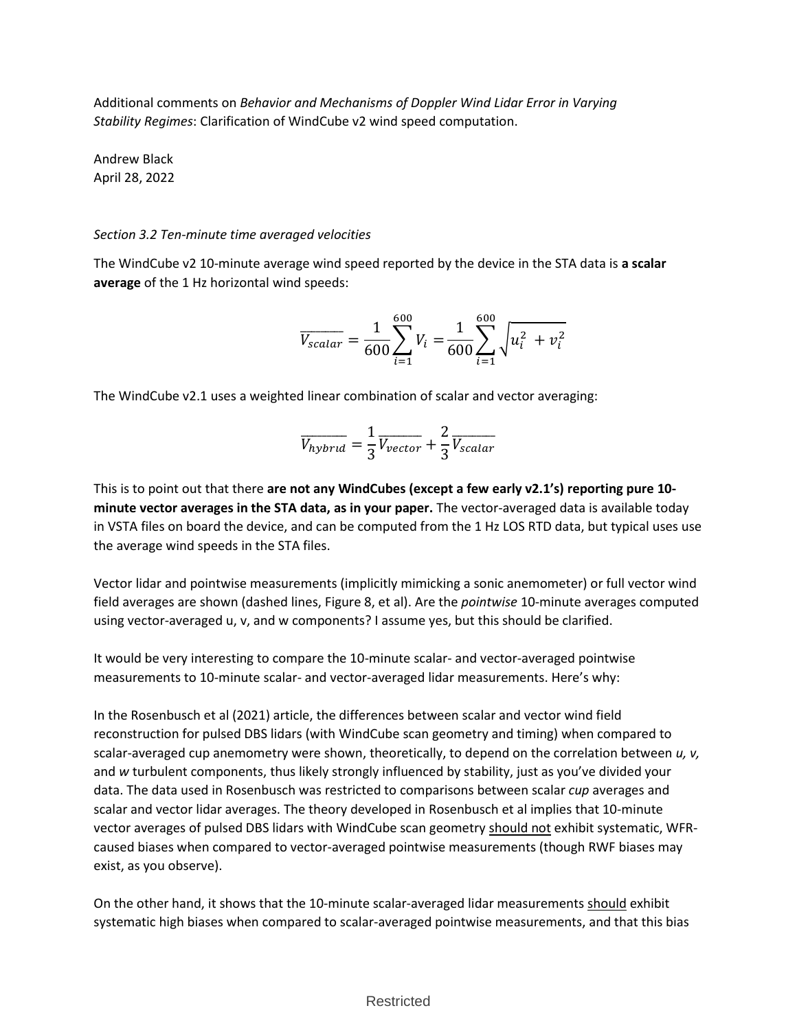Additional comments on *Behavior and Mechanisms of Doppler Wind Lidar Error in Varying Stability Regimes*: Clarification of WindCube v2 wind speed computation.

Andrew Black April 28, 2022

## *Section 3.2 Ten-minute time averaged velocities*

The WindCube v2 10-minute average wind speed reported by the device in the STA data is **a scalar average** of the 1 Hz horizontal wind speeds:

$$
\overline{V_{scalar}} = \frac{1}{600} \sum_{i=1}^{600} V_i = \frac{1}{600} \sum_{i=1}^{600} \sqrt{u_i^2 + v_i^2}
$$

The WindCube v2.1 uses a weighted linear combination of scalar and vector averaging:

$$
\overline{V_{hybrid}} = \frac{1}{3} \overline{V_{vector}} + \frac{2}{3} \overline{V_{scalar}}
$$

This is to point out that there **are not any WindCubes (except a few early v2.1's) reporting pure 10 minute vector averages in the STA data, as in your paper.** The vector-averaged data is available today in VSTA files on board the device, and can be computed from the 1 Hz LOS RTD data, but typical uses use the average wind speeds in the STA files.

Vector lidar and pointwise measurements (implicitly mimicking a sonic anemometer) or full vector wind field averages are shown (dashed lines, Figure 8, et al). Are the *pointwise* 10-minute averages computed using vector-averaged u, v, and w components? I assume yes, but this should be clarified.

It would be very interesting to compare the 10-minute scalar- and vector-averaged pointwise measurements to 10-minute scalar- and vector-averaged lidar measurements. Here's why:

In the Rosenbusch et al (2021) article, the differences between scalar and vector wind field reconstruction for pulsed DBS lidars (with WindCube scan geometry and timing) when compared to scalar-averaged cup anemometry were shown, theoretically, to depend on the correlation between *u, v,*  and *w* turbulent components, thus likely strongly influenced by stability, just as you've divided your data. The data used in Rosenbusch was restricted to comparisons between scalar *cup* averages and scalar and vector lidar averages. The theory developed in Rosenbusch et al implies that 10-minute vector averages of pulsed DBS lidars with WindCube scan geometry should not exhibit systematic, WFRcaused biases when compared to vector-averaged pointwise measurements (though RWF biases may exist, as you observe).

On the other hand, it shows that the 10-minute scalar-averaged lidar measurements should exhibit systematic high biases when compared to scalar-averaged pointwise measurements, and that this bias